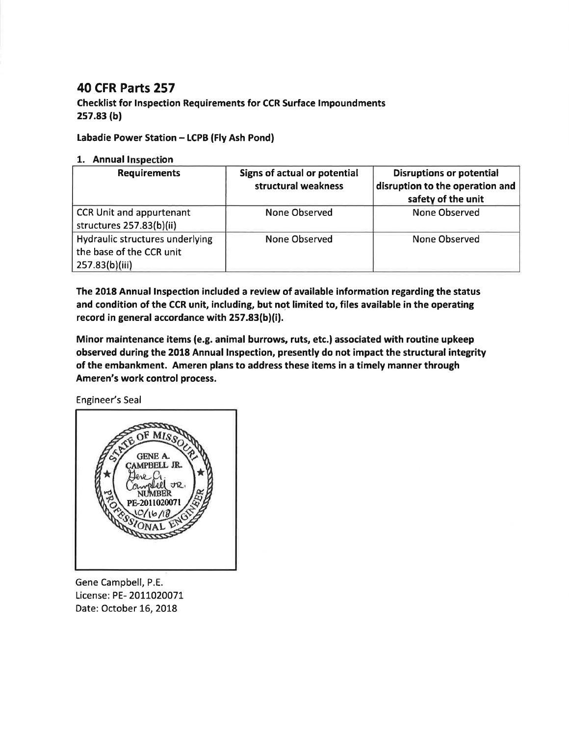## 40 CFR Parts 257

Checklist for lnspection Requirements for CCR Surface lmpoundments 2s7.83 (b)

## Labadie Power Station - LCPB (Fly Ash Pond)

## 1. Annual Inspection

| <b>Requirements</b>                                                           | Signs of actual or potential<br>structural weakness | <b>Disruptions or potential</b><br>disruption to the operation and<br>safety of the unit |
|-------------------------------------------------------------------------------|-----------------------------------------------------|------------------------------------------------------------------------------------------|
| <b>CCR Unit and appurtenant</b><br>structures 257.83(b)(ii)                   | None Observed                                       | None Observed                                                                            |
| Hydraulic structures underlying<br>the base of the CCR unit<br>257.83(b)(iii) | <b>None Observed</b>                                | None Observed                                                                            |

The 2018 Annual lnspection included a review of available information regarding the status and condition of the CCR unit, including, but not limited to, files available in the operating record in general accordance with 257.83(b)(i).

Minor maintenance items (e.g. animal burrows, ruts, etc.) associated with routine upkeep observed during the 2018 Annual lnspection, presently do not impact the structural integrity of the embankment. Ameren plans to address these items in a timely manner through Ameren's work control process.

Engineer's Seal



Gene Campbell, P.E. License: PE- 2011020071 Date: October 16, 2018